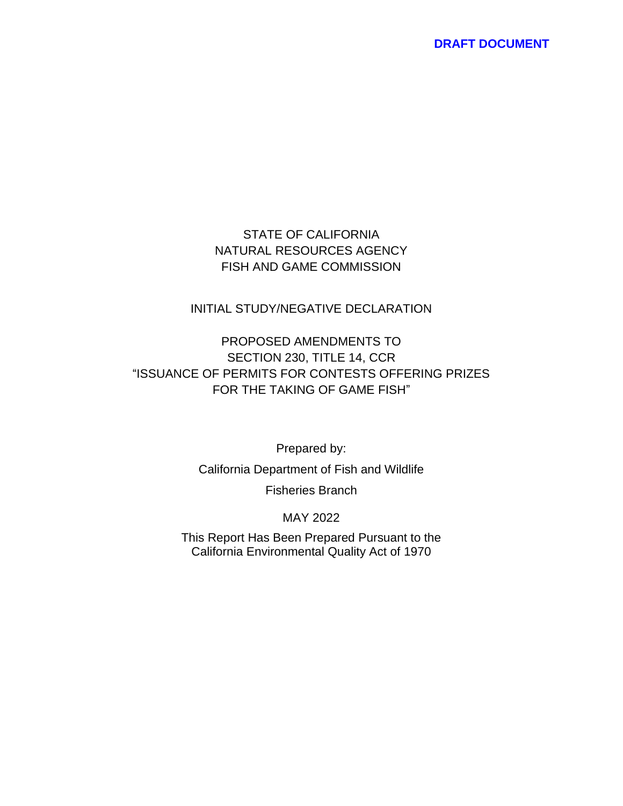### STATE OF CALIFORNIA NATURAL RESOURCES AGENCY FISH AND GAME COMMISSION

### INITIAL STUDY/NEGATIVE DECLARATION

# PROPOSED AMENDMENTS TO SECTION 230, TITLE 14, CCR "ISSUANCE OF PERMITS FOR CONTESTS OFFERING PRIZES FOR THE TAKING OF GAME FISH"

Prepared by:

California Department of Fish and Wildlife

Fisheries Branch

MAY 2022

This Report Has Been Prepared Pursuant to the California Environmental Quality Act of 1970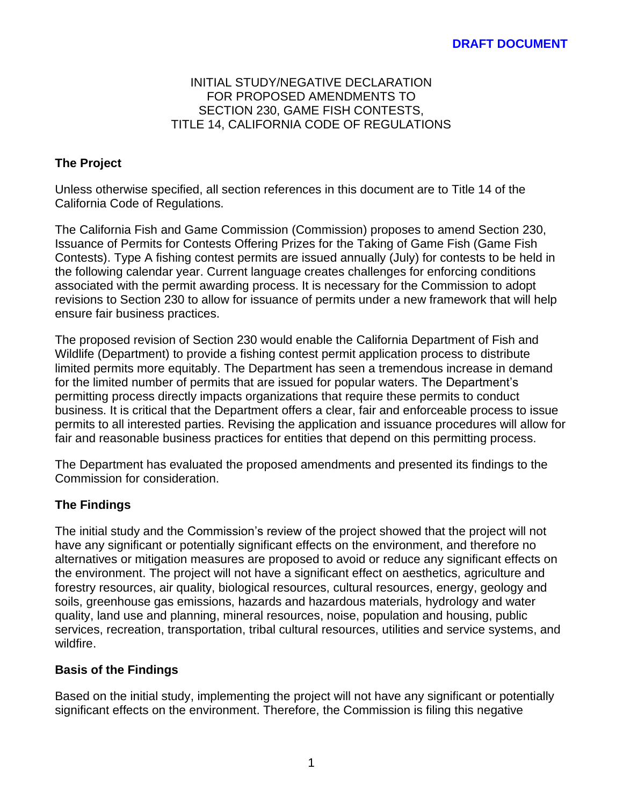#### INITIAL STUDY/NEGATIVE DECLARATION FOR PROPOSED AMENDMENTS TO SECTION 230, GAME FISH CONTESTS, TITLE 14, CALIFORNIA CODE OF REGULATIONS

# **The Project**

Unless otherwise specified, all section references in this document are to Title 14 of the California Code of Regulations.

The California Fish and Game Commission (Commission) proposes to amend Section 230, Issuance of Permits for Contests Offering Prizes for the Taking of Game Fish (Game Fish Contests). Type A fishing contest permits are issued annually (July) for contests to be held in the following calendar year. Current language creates challenges for enforcing conditions associated with the permit awarding process. It is necessary for the Commission to adopt revisions to Section 230 to allow for issuance of permits under a new framework that will help ensure fair business practices.

The proposed revision of Section 230 would enable the California Department of Fish and Wildlife (Department) to provide a fishing contest permit application process to distribute limited permits more equitably. The Department has seen a tremendous increase in demand for the limited number of permits that are issued for popular waters. The Department's permitting process directly impacts organizations that require these permits to conduct business. It is critical that the Department offers a clear, fair and enforceable process to issue permits to all interested parties. Revising the application and issuance procedures will allow for fair and reasonable business practices for entities that depend on this permitting process.

The Department has evaluated the proposed amendments and presented its findings to the Commission for consideration.

### **The Findings**

The initial study and the Commission's review of the project showed that the project will not have any significant or potentially significant effects on the environment, and therefore no alternatives or mitigation measures are proposed to avoid or reduce any significant effects on the environment. The project will not have a significant effect on aesthetics, agriculture and forestry resources, air quality, biological resources, cultural resources, energy, geology and soils, greenhouse gas emissions, hazards and hazardous materials, hydrology and water quality, land use and planning, mineral resources, noise, population and housing, public services, recreation, transportation, tribal cultural resources, utilities and service systems, and wildfire.

### **Basis of the Findings**

Based on the initial study, implementing the project will not have any significant or potentially significant effects on the environment. Therefore, the Commission is filing this negative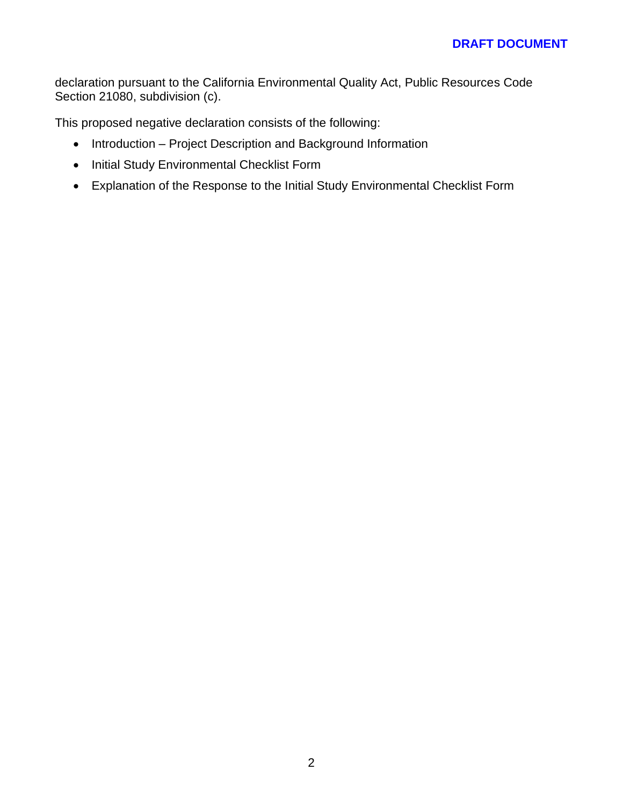declaration pursuant to the California Environmental Quality Act, Public Resources Code Section 21080, subdivision (c).

This proposed negative declaration consists of the following:

- Introduction Project Description and Background Information
- Initial Study Environmental Checklist Form
- Explanation of the Response to the Initial Study Environmental Checklist Form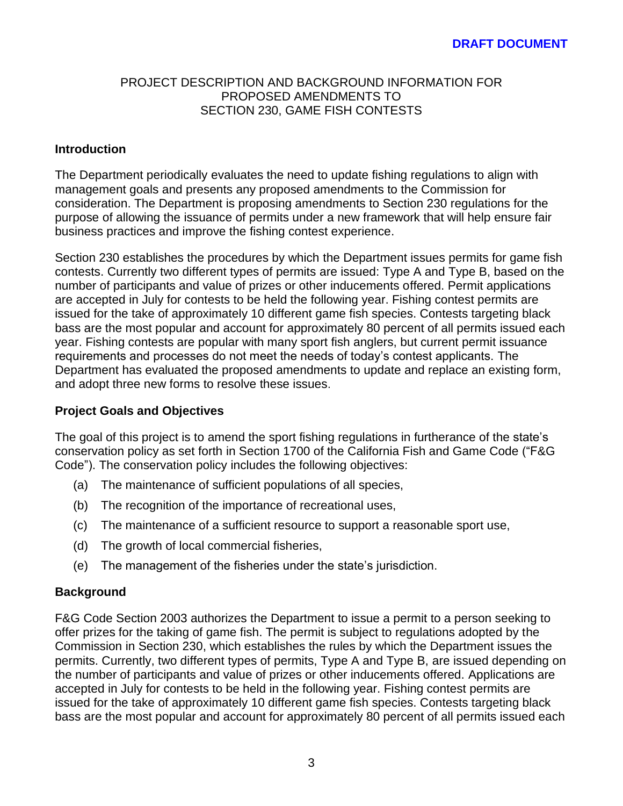#### PROJECT DESCRIPTION AND BACKGROUND INFORMATION FOR PROPOSED AMENDMENTS TO SECTION 230, GAME FISH CONTESTS

### **Introduction**

The Department periodically evaluates the need to update fishing regulations to align with management goals and presents any proposed amendments to the Commission for consideration. The Department is proposing amendments to Section 230 regulations for the purpose of allowing the issuance of permits under a new framework that will help ensure fair business practices and improve the fishing contest experience.

Section 230 establishes the procedures by which the Department issues permits for game fish contests. Currently two different types of permits are issued: Type A and Type B, based on the number of participants and value of prizes or other inducements offered. Permit applications are accepted in July for contests to be held the following year. Fishing contest permits are issued for the take of approximately 10 different game fish species. Contests targeting black bass are the most popular and account for approximately 80 percent of all permits issued each year. Fishing contests are popular with many sport fish anglers, but current permit issuance requirements and processes do not meet the needs of today's contest applicants. The Department has evaluated the proposed amendments to update and replace an existing form, and adopt three new forms to resolve these issues.

#### **Project Goals and Objectives**

The goal of this project is to amend the sport fishing regulations in furtherance of the state's conservation policy as set forth in Section 1700 of the California Fish and Game Code ("F&G Code"). The conservation policy includes the following objectives:

- (a) The maintenance of sufficient populations of all species,
- (b) The recognition of the importance of recreational uses,
- (c) The maintenance of a sufficient resource to support a reasonable sport use,
- (d) The growth of local commercial fisheries,
- (e) The management of the fisheries under the state's jurisdiction.

#### **Background**

F&G Code Section 2003 authorizes the Department to issue a permit to a person seeking to offer prizes for the taking of game fish. The permit is subject to regulations adopted by the Commission in Section 230, which establishes the rules by which the Department issues the permits. Currently, two different types of permits, Type A and Type B, are issued depending on the number of participants and value of prizes or other inducements offered. Applications are accepted in July for contests to be held in the following year. Fishing contest permits are issued for the take of approximately 10 different game fish species. Contests targeting black bass are the most popular and account for approximately 80 percent of all permits issued each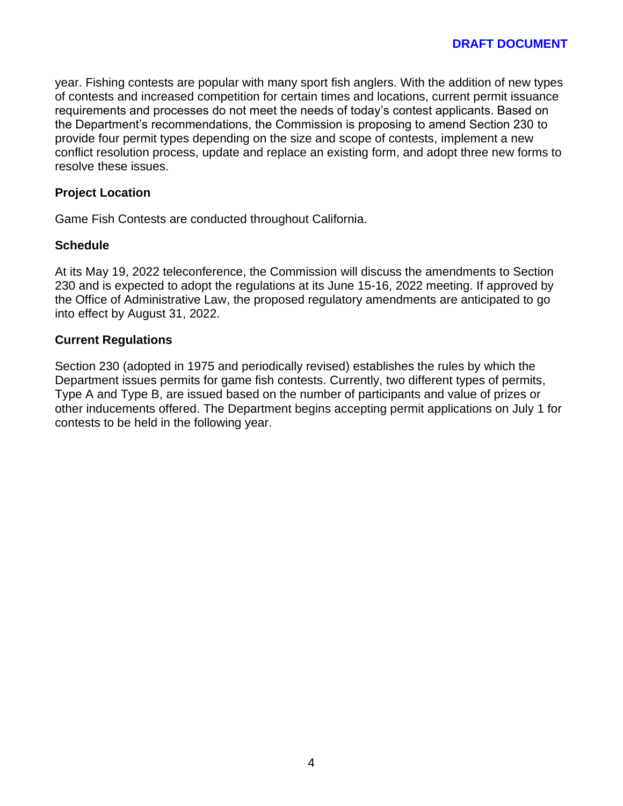year. Fishing contests are popular with many sport fish anglers. With the addition of new types of contests and increased competition for certain times and locations, current permit issuance requirements and processes do not meet the needs of today's contest applicants. Based on the Department's recommendations, the Commission is proposing to amend Section 230 to provide four permit types depending on the size and scope of contests, implement a new conflict resolution process, update and replace an existing form, and adopt three new forms to resolve these issues.

### **Project Location**

Game Fish Contests are conducted throughout California.

### **Schedule**

At its May 19, 2022 teleconference, the Commission will discuss the amendments to Section 230 and is expected to adopt the regulations at its June 15-16, 2022 meeting. If approved by the Office of Administrative Law, the proposed regulatory amendments are anticipated to go into effect by August 31, 2022.

### **Current Regulations**

Section 230 (adopted in 1975 and periodically revised) establishes the rules by which the Department issues permits for game fish contests. Currently, two different types of permits, Type A and Type B, are issued based on the number of participants and value of prizes or other inducements offered. The Department begins accepting permit applications on July 1 for contests to be held in the following year.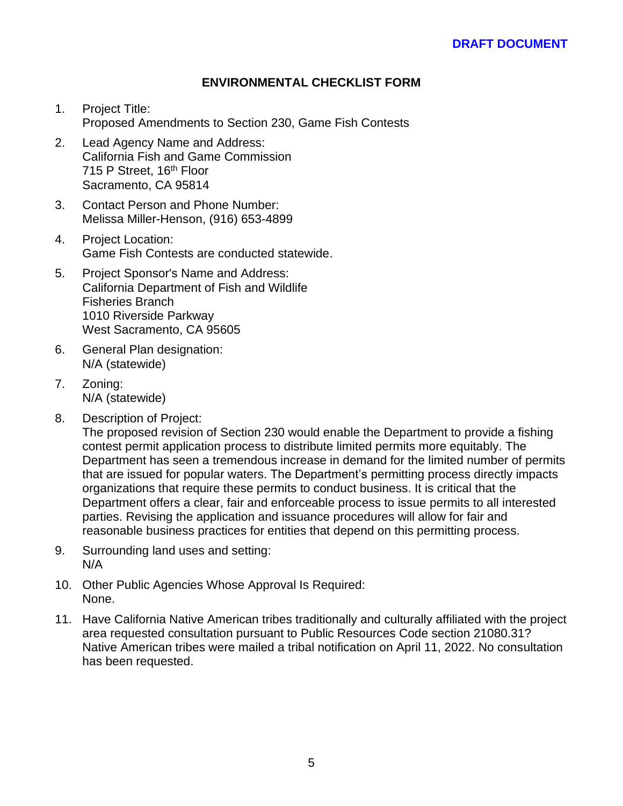### **ENVIRONMENTAL CHECKLIST FORM**

- 1. Project Title: Proposed Amendments to Section 230, Game Fish Contests
- 2. Lead Agency Name and Address: California Fish and Game Commission 715 P Street, 16<sup>th</sup> Floor Sacramento, CA 95814
- 3. Contact Person and Phone Number: Melissa Miller-Henson, (916) 653-4899
- 4. Project Location: Game Fish Contests are conducted statewide.
- 5. Project Sponsor's Name and Address: California Department of Fish and Wildlife Fisheries Branch 1010 Riverside Parkway West Sacramento, CA 95605
- 6. General Plan designation: N/A (statewide)
- 7. Zoning: N/A (statewide)
- 8. Description of Project:

The proposed revision of Section 230 would enable the Department to provide a fishing contest permit application process to distribute limited permits more equitably. The Department has seen a tremendous increase in demand for the limited number of permits that are issued for popular waters. The Department's permitting process directly impacts organizations that require these permits to conduct business. It is critical that the Department offers a clear, fair and enforceable process to issue permits to all interested parties. Revising the application and issuance procedures will allow for fair and reasonable business practices for entities that depend on this permitting process.

- 9. Surrounding land uses and setting: N/A
- 10. Other Public Agencies Whose Approval Is Required: None.
- 11. Have California Native American tribes traditionally and culturally affiliated with the project area requested consultation pursuant to Public Resources Code section 21080.31? Native American tribes were mailed a tribal notification on April 11, 2022. No consultation has been requested.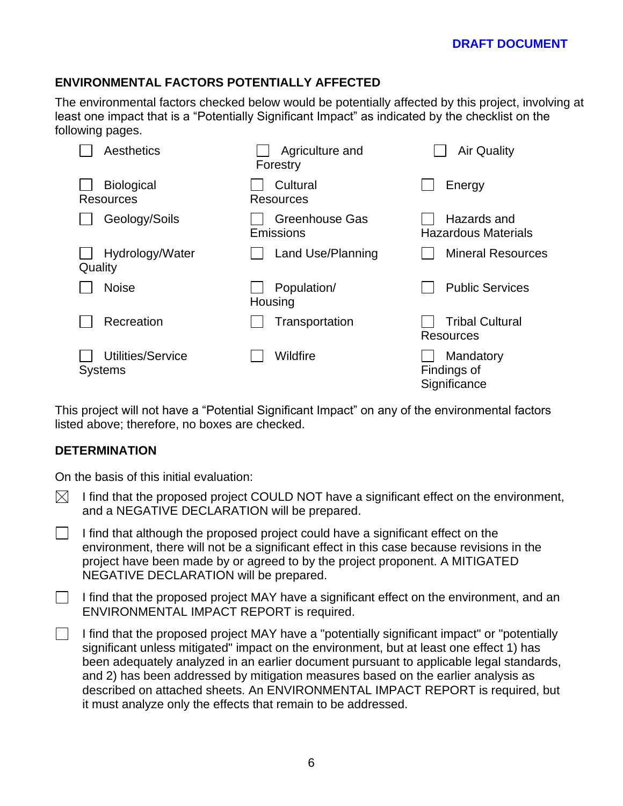# **ENVIRONMENTAL FACTORS POTENTIALLY AFFECTED**

The environmental factors checked below would be potentially affected by this project, involving at least one impact that is a "Potentially Significant Impact" as indicated by the checklist on the following pages.

| Aesthetics                          | Agriculture and<br>Forestry | <b>Air Quality</b>                         |
|-------------------------------------|-----------------------------|--------------------------------------------|
| <b>Biological</b><br>Resources      | Cultural<br>Resources       | Energy                                     |
| Geology/Soils                       | Greenhouse Gas<br>Emissions | Hazards and<br><b>Hazardous Materials</b>  |
| Hydrology/Water<br>Quality          | Land Use/Planning           | <b>Mineral Resources</b>                   |
| <b>Noise</b>                        | Population/<br>Housing      | <b>Public Services</b>                     |
| Recreation                          | Transportation              | <b>Tribal Cultural</b><br><b>Resources</b> |
| Utilities/Service<br><b>Systems</b> | Wildfire                    | Mandatory<br>Findings of<br>Significance   |

This project will not have a "Potential Significant Impact" on any of the environmental factors listed above; therefore, no boxes are checked.

### **DETERMINATION**

On the basis of this initial evaluation:

- $\bowtie$  I find that the proposed project COULD NOT have a significant effect on the environment, and a NEGATIVE DECLARATION will be prepared.
- I find that although the proposed project could have a significant effect on the  $\Box$ environment, there will not be a significant effect in this case because revisions in the project have been made by or agreed to by the project proponent. A MITIGATED NEGATIVE DECLARATION will be prepared.

I find that the proposed project MAY have a significant effect on the environment, and an  $\mathbb{R}^n$ ENVIRONMENTAL IMPACT REPORT is required.

I find that the proposed project MAY have a "potentially significant impact" or "potentially  $\mathbf{1}$ significant unless mitigated" impact on the environment, but at least one effect 1) has been adequately analyzed in an earlier document pursuant to applicable legal standards, and 2) has been addressed by mitigation measures based on the earlier analysis as described on attached sheets. An ENVIRONMENTAL IMPACT REPORT is required, but it must analyze only the effects that remain to be addressed.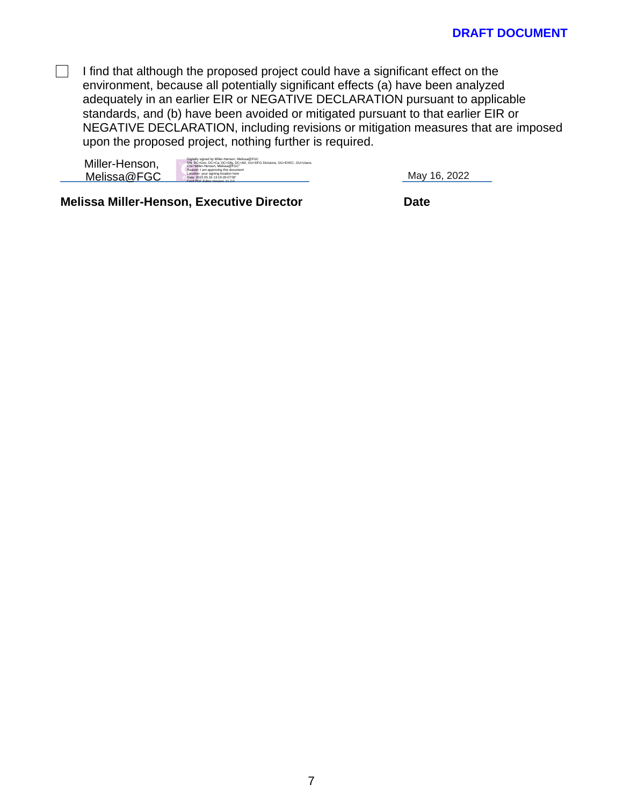$\Box$  I find that although the proposed project could have a significant effect on the environment, because all potentially significant effects (a) have been analyzed adequately in an earlier EIR or NEGATIVE DECLARATION pursuant to applicable standards, and (b) have been avoided or mitigated pursuant to that earlier EIR or NEGATIVE DECLARATION, including revisions or mitigation measures that are imposed upon the proposed project, nothing further is required.

| Miller-Henson, | Digitally signed by Miller-Henson, Melissa@FGC<br>DN: DC=Gov, DC=Ca, DC=Dfg, DC=AD, OU=DFG Divisions, OU=EXEC, OU=Users,<br>CN="Miller-Henson, Melissa@FGC"<br>Reason: I am approving this document |
|----------------|-----------------------------------------------------------------------------------------------------------------------------------------------------------------------------------------------------|
| Melissa@FGC    | Location: your signing location here<br>Date: 2022.05.16 13:19:29-07'00"<br>Foxit PDF Follor Version: 11-2-0                                                                                        |

May 16, 2022

**Melissa Miller-Henson, Executive Director Date**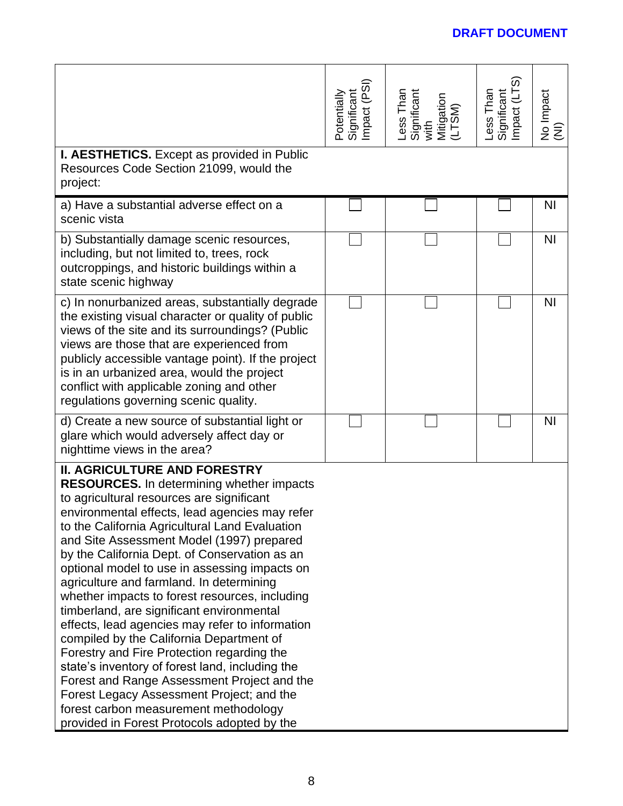| I. AESTHETICS. Except as provided in Public                                                                                                                                                                                                                                                                                                                                                                                                                                                                                                                                                                                                                                                                                                                                                                                                                                                                            | Potentially<br>Significant<br>Impact (PSI) | Less Than<br>Significant<br>with<br>Mitigation<br>(LTSM) | Less Than<br>Significant<br>Impact (LTS) | No Impact<br>(NI) |
|------------------------------------------------------------------------------------------------------------------------------------------------------------------------------------------------------------------------------------------------------------------------------------------------------------------------------------------------------------------------------------------------------------------------------------------------------------------------------------------------------------------------------------------------------------------------------------------------------------------------------------------------------------------------------------------------------------------------------------------------------------------------------------------------------------------------------------------------------------------------------------------------------------------------|--------------------------------------------|----------------------------------------------------------|------------------------------------------|-------------------|
| Resources Code Section 21099, would the<br>project:                                                                                                                                                                                                                                                                                                                                                                                                                                                                                                                                                                                                                                                                                                                                                                                                                                                                    |                                            |                                                          |                                          |                   |
| a) Have a substantial adverse effect on a<br>scenic vista                                                                                                                                                                                                                                                                                                                                                                                                                                                                                                                                                                                                                                                                                                                                                                                                                                                              |                                            |                                                          |                                          | <b>NI</b>         |
| b) Substantially damage scenic resources,<br>including, but not limited to, trees, rock<br>outcroppings, and historic buildings within a<br>state scenic highway                                                                                                                                                                                                                                                                                                                                                                                                                                                                                                                                                                                                                                                                                                                                                       |                                            |                                                          |                                          | N <sub>1</sub>    |
| c) In nonurbanized areas, substantially degrade<br>the existing visual character or quality of public<br>views of the site and its surroundings? (Public<br>views are those that are experienced from<br>publicly accessible vantage point). If the project<br>is in an urbanized area, would the project<br>conflict with applicable zoning and other<br>regulations governing scenic quality.                                                                                                                                                                                                                                                                                                                                                                                                                                                                                                                        |                                            |                                                          |                                          | N <sub>1</sub>    |
| d) Create a new source of substantial light or<br>glare which would adversely affect day or<br>nighttime views in the area?                                                                                                                                                                                                                                                                                                                                                                                                                                                                                                                                                                                                                                                                                                                                                                                            |                                            |                                                          |                                          | N <sub>1</sub>    |
| <b>II. AGRICULTURE AND FORESTRY</b><br><b>RESOURCES.</b> In determining whether impacts<br>to agricultural resources are significant<br>environmental effects, lead agencies may refer<br>to the California Agricultural Land Evaluation<br>and Site Assessment Model (1997) prepared<br>by the California Dept. of Conservation as an<br>optional model to use in assessing impacts on<br>agriculture and farmland. In determining<br>whether impacts to forest resources, including<br>timberland, are significant environmental<br>effects, lead agencies may refer to information<br>compiled by the California Department of<br>Forestry and Fire Protection regarding the<br>state's inventory of forest land, including the<br>Forest and Range Assessment Project and the<br>Forest Legacy Assessment Project; and the<br>forest carbon measurement methodology<br>provided in Forest Protocols adopted by the |                                            |                                                          |                                          |                   |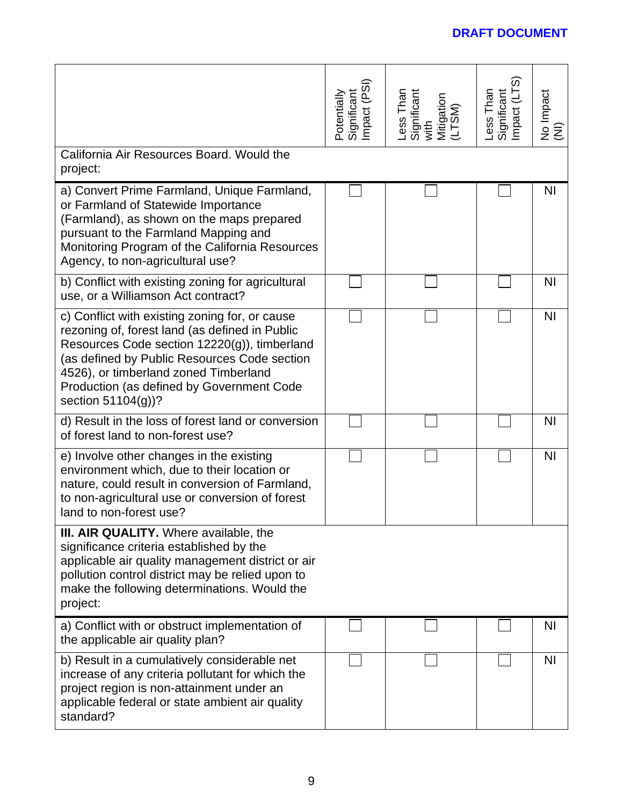|                                                                                                                                                                                                                                                                                                              | Potentially<br>Significant<br>Impact (PSI) | Less Than<br>Significant<br>with<br>Mitigation<br>(LTSM) | Significant<br>Impact (LTS)<br>Less Than | No Impact<br>(NI) |
|--------------------------------------------------------------------------------------------------------------------------------------------------------------------------------------------------------------------------------------------------------------------------------------------------------------|--------------------------------------------|----------------------------------------------------------|------------------------------------------|-------------------|
| California Air Resources Board. Would the<br>project:                                                                                                                                                                                                                                                        |                                            |                                                          |                                          |                   |
| a) Convert Prime Farmland, Unique Farmland,<br>or Farmland of Statewide Importance<br>(Farmland), as shown on the maps prepared<br>pursuant to the Farmland Mapping and<br>Monitoring Program of the California Resources<br>Agency, to non-agricultural use?                                                |                                            |                                                          |                                          | ΝI                |
| b) Conflict with existing zoning for agricultural<br>use, or a Williamson Act contract?                                                                                                                                                                                                                      |                                            |                                                          |                                          | <b>NI</b>         |
| c) Conflict with existing zoning for, or cause<br>rezoning of, forest land (as defined in Public<br>Resources Code section 12220(g)), timberland<br>(as defined by Public Resources Code section<br>4526), or timberland zoned Timberland<br>Production (as defined by Government Code<br>section 51104(g))? |                                            |                                                          |                                          | N <sub>1</sub>    |
| d) Result in the loss of forest land or conversion<br>of forest land to non-forest use?                                                                                                                                                                                                                      |                                            |                                                          |                                          | N <sub>1</sub>    |
| e) Involve other changes in the existing<br>environment which, due to their location or<br>nature, could result in conversion of Farmland,<br>to non-agricultural use or conversion of forest<br>land to non-forest use?                                                                                     |                                            |                                                          |                                          | N <sub>1</sub>    |
| <b>III. AIR QUALITY.</b> Where available, the<br>significance criteria established by the<br>applicable air quality management district or air<br>pollution control district may be relied upon to<br>make the following determinations. Would the<br>project:                                               |                                            |                                                          |                                          |                   |
| a) Conflict with or obstruct implementation of<br>the applicable air quality plan?                                                                                                                                                                                                                           |                                            |                                                          |                                          | <b>NI</b>         |
| b) Result in a cumulatively considerable net<br>increase of any criteria pollutant for which the<br>project region is non-attainment under an<br>applicable federal or state ambient air quality<br>standard?                                                                                                |                                            |                                                          |                                          | N <sub>1</sub>    |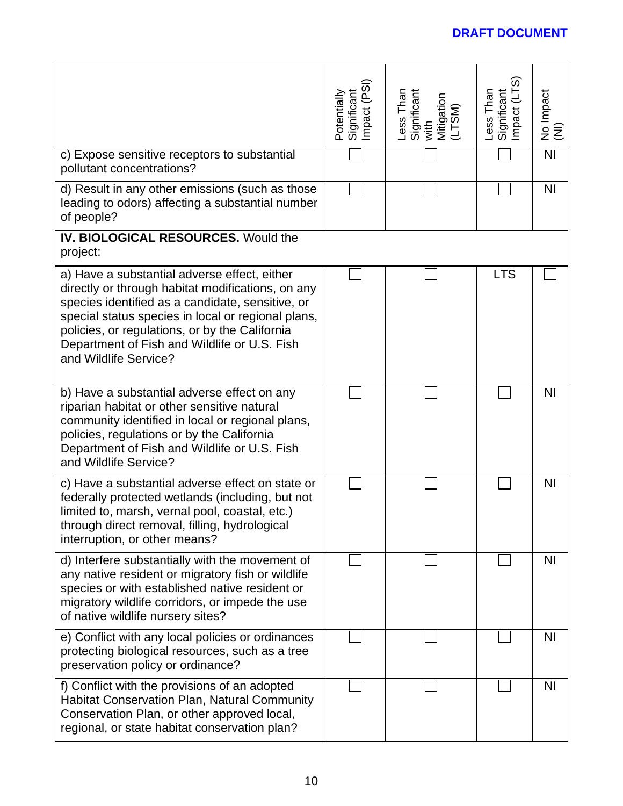| c) Expose sensitive receptors to substantial<br>pollutant concentrations?<br>d) Result in any other emissions (such as those<br>leading to odors) affecting a substantial number                                                                                                                                                       | Potentially<br>Significant<br>Impact (PSI) | Less Than<br>Significant<br>with<br>Mitigation<br>(LTSM) | Less Than<br>Significant<br>Impact (LTS) | No Impact<br>(NI)<br>N <sub>l</sub><br><b>NI</b> |
|----------------------------------------------------------------------------------------------------------------------------------------------------------------------------------------------------------------------------------------------------------------------------------------------------------------------------------------|--------------------------------------------|----------------------------------------------------------|------------------------------------------|--------------------------------------------------|
| of people?<br><b>IV. BIOLOGICAL RESOURCES. Would the</b><br>project:                                                                                                                                                                                                                                                                   |                                            |                                                          |                                          |                                                  |
| a) Have a substantial adverse effect, either<br>directly or through habitat modifications, on any<br>species identified as a candidate, sensitive, or<br>special status species in local or regional plans,<br>policies, or regulations, or by the California<br>Department of Fish and Wildlife or U.S. Fish<br>and Wildlife Service? |                                            |                                                          | <b>LTS</b>                               |                                                  |
| b) Have a substantial adverse effect on any<br>riparian habitat or other sensitive natural<br>community identified in local or regional plans,<br>policies, regulations or by the California<br>Department of Fish and Wildlife or U.S. Fish<br>and Wildlife Service?                                                                  |                                            |                                                          |                                          | N <sub>1</sub>                                   |
| c) Have a substantial adverse effect on state or<br>federally protected wetlands (including, but not<br>limited to, marsh, vernal pool, coastal, etc.)<br>through direct removal, filling, hydrological<br>interruption, or other means?                                                                                               |                                            |                                                          |                                          | <b>NI</b>                                        |
| d) Interfere substantially with the movement of<br>any native resident or migratory fish or wildlife<br>species or with established native resident or<br>migratory wildlife corridors, or impede the use<br>of native wildlife nursery sites?                                                                                         |                                            |                                                          |                                          | <b>NI</b>                                        |
| e) Conflict with any local policies or ordinances<br>protecting biological resources, such as a tree<br>preservation policy or ordinance?                                                                                                                                                                                              |                                            |                                                          |                                          | <b>NI</b>                                        |
| f) Conflict with the provisions of an adopted<br><b>Habitat Conservation Plan, Natural Community</b><br>Conservation Plan, or other approved local,<br>regional, or state habitat conservation plan?                                                                                                                                   |                                            |                                                          |                                          | <b>NI</b>                                        |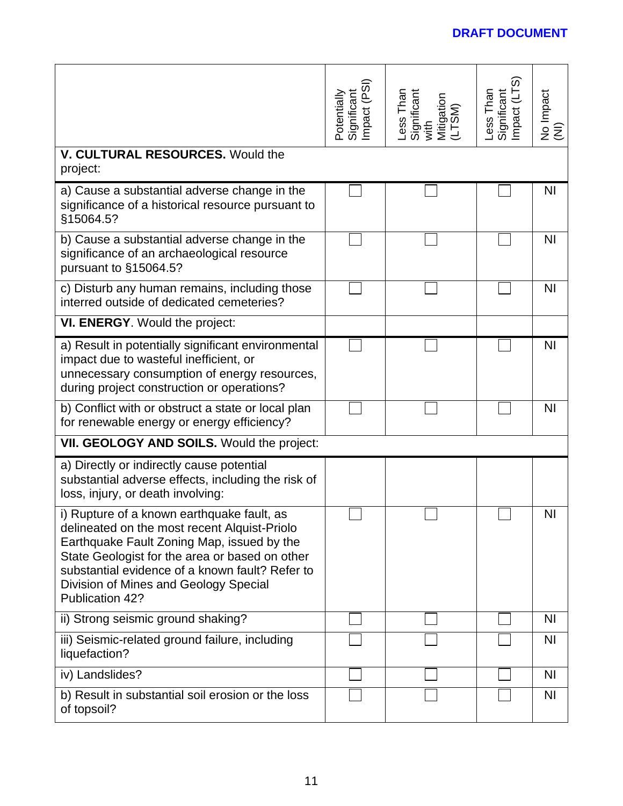|                                                                                                                                                                                                                                                                                                           | Significant<br>Impact (PSI)<br>Potentially | Less Than<br>Significant<br>with<br>Mitigation<br>(LTSM) | Significant<br>Impact (LTS)<br>Less Than | No Impact<br>(NI) |
|-----------------------------------------------------------------------------------------------------------------------------------------------------------------------------------------------------------------------------------------------------------------------------------------------------------|--------------------------------------------|----------------------------------------------------------|------------------------------------------|-------------------|
| <b>V. CULTURAL RESOURCES. Would the</b><br>project:                                                                                                                                                                                                                                                       |                                            |                                                          |                                          |                   |
| a) Cause a substantial adverse change in the<br>significance of a historical resource pursuant to<br>§15064.5?                                                                                                                                                                                            |                                            |                                                          |                                          | <b>NI</b>         |
| b) Cause a substantial adverse change in the<br>significance of an archaeological resource<br>pursuant to §15064.5?                                                                                                                                                                                       |                                            |                                                          |                                          | <b>NI</b>         |
| c) Disturb any human remains, including those<br>interred outside of dedicated cemeteries?                                                                                                                                                                                                                |                                            |                                                          |                                          | <b>NI</b>         |
| VI. ENERGY. Would the project:                                                                                                                                                                                                                                                                            |                                            |                                                          |                                          |                   |
| a) Result in potentially significant environmental<br>impact due to wasteful inefficient, or<br>unnecessary consumption of energy resources,<br>during project construction or operations?                                                                                                                |                                            |                                                          |                                          | N <sub>l</sub>    |
| b) Conflict with or obstruct a state or local plan<br>for renewable energy or energy efficiency?                                                                                                                                                                                                          |                                            |                                                          |                                          | <b>NI</b>         |
| VII. GEOLOGY AND SOILS. Would the project:                                                                                                                                                                                                                                                                |                                            |                                                          |                                          |                   |
| a) Directly or indirectly cause potential<br>substantial adverse effects, including the risk of<br>loss, injury, or death involving:                                                                                                                                                                      |                                            |                                                          |                                          |                   |
| i) Rupture of a known earthquake fault, as<br>delineated on the most recent Alquist-Priolo<br>Earthquake Fault Zoning Map, issued by the<br>State Geologist for the area or based on other<br>substantial evidence of a known fault? Refer to<br>Division of Mines and Geology Special<br>Publication 42? |                                            |                                                          |                                          | NI                |
| ii) Strong seismic ground shaking?                                                                                                                                                                                                                                                                        |                                            |                                                          |                                          | <b>NI</b>         |
| iii) Seismic-related ground failure, including<br>liquefaction?                                                                                                                                                                                                                                           |                                            |                                                          |                                          | N <sub>1</sub>    |
| iv) Landslides?                                                                                                                                                                                                                                                                                           |                                            |                                                          |                                          | ΝI                |
| b) Result in substantial soil erosion or the loss<br>of topsoil?                                                                                                                                                                                                                                          |                                            |                                                          |                                          | N <sub>l</sub>    |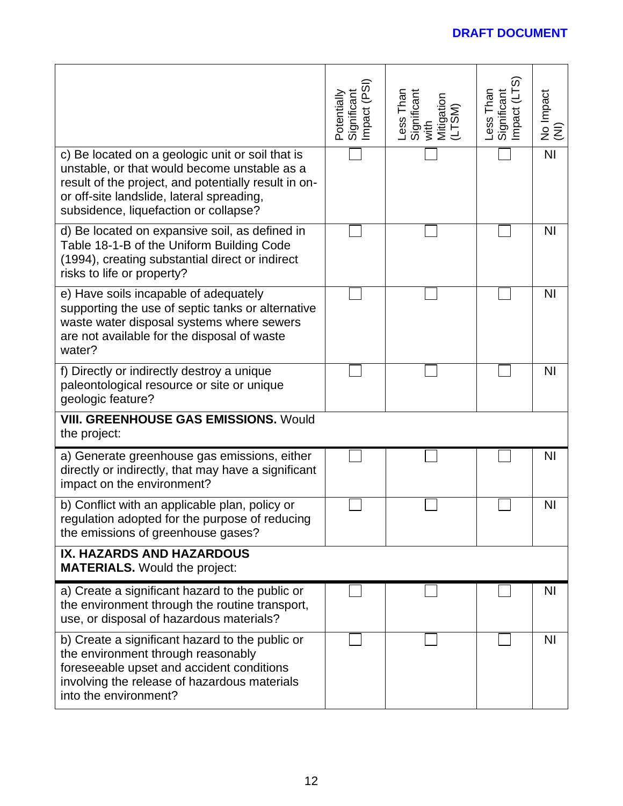|                                                                                                                                                                                                                                                | mpact (PSI)<br>Potentially<br>Significant | Less Than<br>Significant<br>with<br>Mitigation<br>(LTSM) | <u>(</u> م<br>Less Than<br>mpact (LT<br>Significant | No Impact<br>(NI) |
|------------------------------------------------------------------------------------------------------------------------------------------------------------------------------------------------------------------------------------------------|-------------------------------------------|----------------------------------------------------------|-----------------------------------------------------|-------------------|
| c) Be located on a geologic unit or soil that is<br>unstable, or that would become unstable as a<br>result of the project, and potentially result in on-<br>or off-site landslide, lateral spreading,<br>subsidence, liquefaction or collapse? |                                           |                                                          |                                                     | <b>NI</b>         |
| d) Be located on expansive soil, as defined in<br>Table 18-1-B of the Uniform Building Code<br>(1994), creating substantial direct or indirect<br>risks to life or property?                                                                   |                                           |                                                          |                                                     | <b>NI</b>         |
| e) Have soils incapable of adequately<br>supporting the use of septic tanks or alternative<br>waste water disposal systems where sewers<br>are not available for the disposal of waste<br>water?                                               |                                           |                                                          |                                                     | N <sub>l</sub>    |
| f) Directly or indirectly destroy a unique<br>paleontological resource or site or unique<br>geologic feature?                                                                                                                                  |                                           |                                                          |                                                     | N <sub>1</sub>    |
| <b>VIII. GREENHOUSE GAS EMISSIONS. Would</b><br>the project:                                                                                                                                                                                   |                                           |                                                          |                                                     |                   |
| a) Generate greenhouse gas emissions, either<br>directly or indirectly, that may have a significant<br>impact on the environment?                                                                                                              |                                           |                                                          |                                                     | N <sub>l</sub>    |
| b) Conflict with an applicable plan, policy or<br>regulation adopted for the purpose of reducing<br>the emissions of greenhouse gases?                                                                                                         |                                           |                                                          |                                                     | <b>NI</b>         |
| <b>IX. HAZARDS AND HAZARDOUS</b><br><b>MATERIALS.</b> Would the project:                                                                                                                                                                       |                                           |                                                          |                                                     |                   |
| a) Create a significant hazard to the public or<br>the environment through the routine transport,<br>use, or disposal of hazardous materials?                                                                                                  |                                           |                                                          |                                                     | <b>NI</b>         |
| b) Create a significant hazard to the public or<br>the environment through reasonably<br>foreseeable upset and accident conditions<br>involving the release of hazardous materials<br>into the environment?                                    |                                           |                                                          |                                                     | <b>NI</b>         |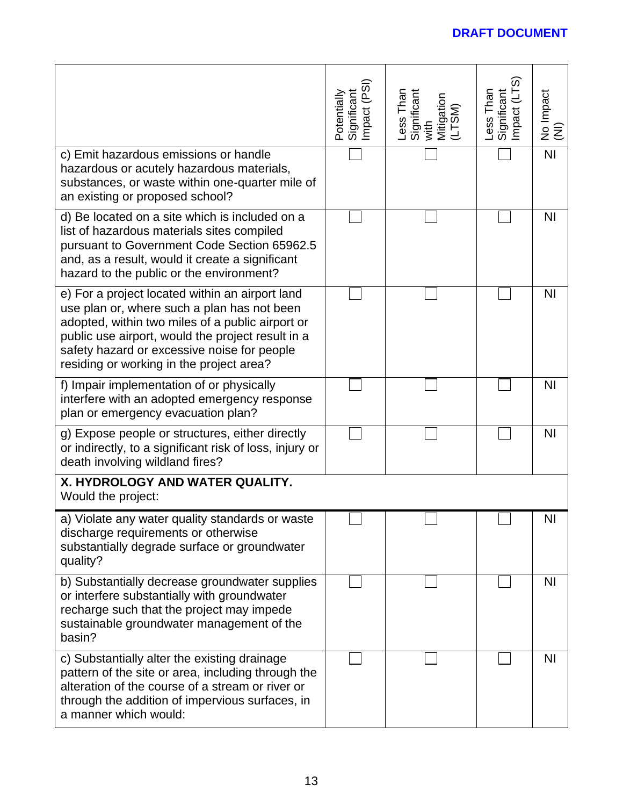|                                                                                                                                                                                                                                                                                                    | Potentially<br>Significant<br>Impact (PSI) | Less Than<br>Significant<br>with<br>Mitigation<br>Mitigation | Significant<br>Impact (LTS)<br>ess Than | No Impact<br>(NI) |
|----------------------------------------------------------------------------------------------------------------------------------------------------------------------------------------------------------------------------------------------------------------------------------------------------|--------------------------------------------|--------------------------------------------------------------|-----------------------------------------|-------------------|
| c) Emit hazardous emissions or handle<br>hazardous or acutely hazardous materials,<br>substances, or waste within one-quarter mile of<br>an existing or proposed school?                                                                                                                           |                                            |                                                              |                                         | N <sub>l</sub>    |
| d) Be located on a site which is included on a<br>list of hazardous materials sites compiled<br>pursuant to Government Code Section 65962.5<br>and, as a result, would it create a significant<br>hazard to the public or the environment?                                                         |                                            |                                                              |                                         | N <sub>l</sub>    |
| e) For a project located within an airport land<br>use plan or, where such a plan has not been<br>adopted, within two miles of a public airport or<br>public use airport, would the project result in a<br>safety hazard or excessive noise for people<br>residing or working in the project area? |                                            |                                                              |                                         | N <sub>l</sub>    |
| f) Impair implementation of or physically<br>interfere with an adopted emergency response<br>plan or emergency evacuation plan?                                                                                                                                                                    |                                            |                                                              |                                         | <b>NI</b>         |
| g) Expose people or structures, either directly<br>or indirectly, to a significant risk of loss, injury or<br>death involving wildland fires?                                                                                                                                                      |                                            |                                                              |                                         | <b>NI</b>         |
| X. HYDROLOGY AND WATER QUALITY.<br>Would the project:                                                                                                                                                                                                                                              |                                            |                                                              |                                         |                   |
| a) Violate any water quality standards or waste<br>discharge requirements or otherwise<br>substantially degrade surface or groundwater<br>quality?                                                                                                                                                 |                                            |                                                              |                                         | <b>NI</b>         |
| b) Substantially decrease groundwater supplies<br>or interfere substantially with groundwater<br>recharge such that the project may impede<br>sustainable groundwater management of the<br>basin?                                                                                                  |                                            |                                                              |                                         | <b>NI</b>         |
| c) Substantially alter the existing drainage<br>pattern of the site or area, including through the<br>alteration of the course of a stream or river or<br>through the addition of impervious surfaces, in<br>a manner which would:                                                                 |                                            |                                                              |                                         | <b>NI</b>         |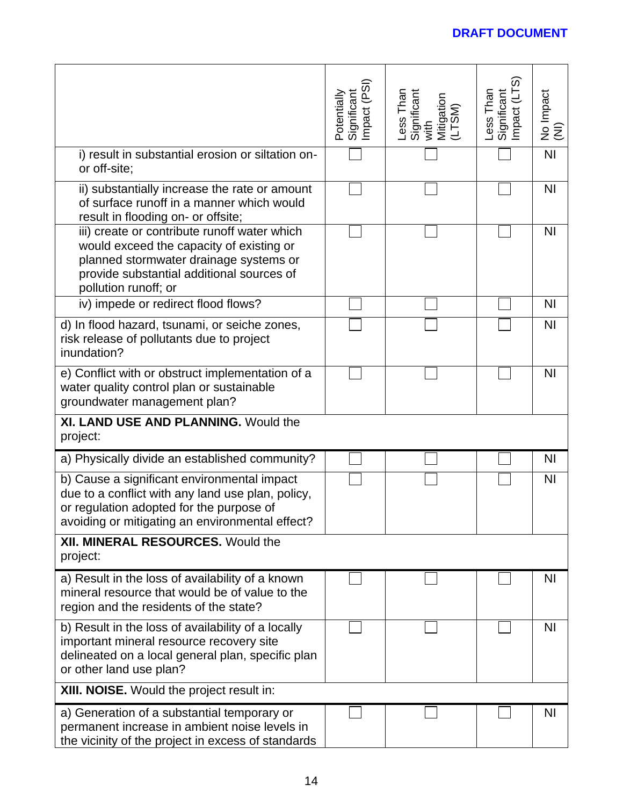|                                                                                                                                                                                                         | Potentially<br>Significant<br>Impact (PSI) | Less Than<br>Significant<br>with<br>Mitigation<br>(LTSM) | Impact (LTS<br>Less Than<br>Significant | No Impact<br>(NI) |
|---------------------------------------------------------------------------------------------------------------------------------------------------------------------------------------------------------|--------------------------------------------|----------------------------------------------------------|-----------------------------------------|-------------------|
| i) result in substantial erosion or siltation on-<br>or off-site;                                                                                                                                       |                                            |                                                          |                                         | N <sub>l</sub>    |
| ii) substantially increase the rate or amount<br>of surface runoff in a manner which would<br>result in flooding on- or offsite;                                                                        |                                            |                                                          |                                         | <b>NI</b>         |
| iii) create or contribute runoff water which<br>would exceed the capacity of existing or<br>planned stormwater drainage systems or<br>provide substantial additional sources of<br>pollution runoff; or |                                            |                                                          |                                         | <b>NI</b>         |
| iv) impede or redirect flood flows?                                                                                                                                                                     |                                            |                                                          |                                         | <b>NI</b>         |
| d) In flood hazard, tsunami, or seiche zones,<br>risk release of pollutants due to project<br>inundation?                                                                                               |                                            |                                                          |                                         | N <sub>l</sub>    |
| e) Conflict with or obstruct implementation of a<br>water quality control plan or sustainable<br>groundwater management plan?                                                                           |                                            |                                                          |                                         | <b>NI</b>         |
| XI. LAND USE AND PLANNING. Would the<br>project:                                                                                                                                                        |                                            |                                                          |                                         |                   |
| a) Physically divide an established community?                                                                                                                                                          |                                            |                                                          |                                         | <b>NI</b>         |
| b) Cause a significant environmental impact<br>due to a conflict with any land use plan, policy,<br>or regulation adopted for the purpose of<br>avoiding or mitigating an environmental effect?         |                                            |                                                          |                                         | N <sub>l</sub>    |
| <b>XII. MINERAL RESOURCES. Would the</b><br>project:                                                                                                                                                    |                                            |                                                          |                                         |                   |
| a) Result in the loss of availability of a known<br>mineral resource that would be of value to the<br>region and the residents of the state?                                                            |                                            |                                                          |                                         | ΝI                |
| b) Result in the loss of availability of a locally<br>important mineral resource recovery site<br>delineated on a local general plan, specific plan<br>or other land use plan?                          |                                            |                                                          |                                         | N <sub>1</sub>    |
| XIII. NOISE. Would the project result in:                                                                                                                                                               |                                            |                                                          |                                         |                   |
| a) Generation of a substantial temporary or<br>permanent increase in ambient noise levels in<br>the vicinity of the project in excess of standards                                                      |                                            |                                                          |                                         | N <sub>l</sub>    |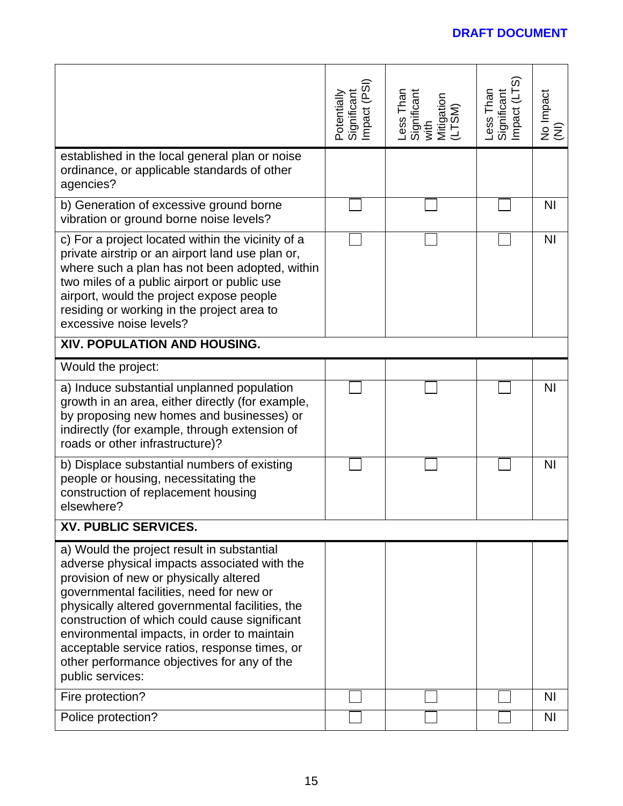|                                                                                                                                                                                                                                                                                                                                                                                                                                                         | Significant<br>Impact (PSI)<br>Potentially | Less Than<br>Significant<br>with<br>Mitigation<br>(LTSM) | Significant<br>Impact (LTS)<br>ess Than | No Impact<br>(NI) |
|---------------------------------------------------------------------------------------------------------------------------------------------------------------------------------------------------------------------------------------------------------------------------------------------------------------------------------------------------------------------------------------------------------------------------------------------------------|--------------------------------------------|----------------------------------------------------------|-----------------------------------------|-------------------|
| established in the local general plan or noise<br>ordinance, or applicable standards of other<br>agencies?                                                                                                                                                                                                                                                                                                                                              |                                            |                                                          |                                         |                   |
| b) Generation of excessive ground borne<br>vibration or ground borne noise levels?                                                                                                                                                                                                                                                                                                                                                                      |                                            |                                                          |                                         | N <sub>l</sub>    |
| c) For a project located within the vicinity of a<br>private airstrip or an airport land use plan or,<br>where such a plan has not been adopted, within<br>two miles of a public airport or public use<br>airport, would the project expose people<br>residing or working in the project area to<br>excessive noise levels?                                                                                                                             |                                            |                                                          |                                         | <b>NI</b>         |
| <b>XIV. POPULATION AND HOUSING.</b>                                                                                                                                                                                                                                                                                                                                                                                                                     |                                            |                                                          |                                         |                   |
| Would the project:                                                                                                                                                                                                                                                                                                                                                                                                                                      |                                            |                                                          |                                         |                   |
| a) Induce substantial unplanned population<br>growth in an area, either directly (for example,<br>by proposing new homes and businesses) or<br>indirectly (for example, through extension of<br>roads or other infrastructure)?                                                                                                                                                                                                                         |                                            |                                                          |                                         | N <sub>l</sub>    |
| b) Displace substantial numbers of existing<br>people or housing, necessitating the<br>construction of replacement housing<br>elsewhere?                                                                                                                                                                                                                                                                                                                |                                            |                                                          |                                         | NI                |
| XV. PUBLIC SERVICES.                                                                                                                                                                                                                                                                                                                                                                                                                                    |                                            |                                                          |                                         |                   |
| a) Would the project result in substantial<br>adverse physical impacts associated with the<br>provision of new or physically altered<br>governmental facilities, need for new or<br>physically altered governmental facilities, the<br>construction of which could cause significant<br>environmental impacts, in order to maintain<br>acceptable service ratios, response times, or<br>other performance objectives for any of the<br>public services: |                                            |                                                          |                                         |                   |
| Fire protection?                                                                                                                                                                                                                                                                                                                                                                                                                                        |                                            |                                                          |                                         | ΝI                |
| Police protection?                                                                                                                                                                                                                                                                                                                                                                                                                                      |                                            |                                                          |                                         | N <sub>l</sub>    |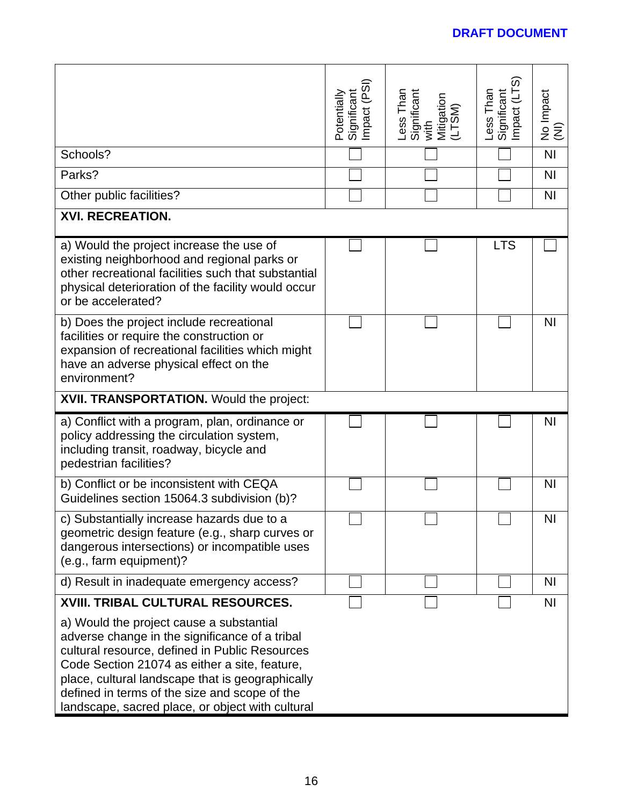|                                                                                                                                                                                                                                                                                                                                                        | mpact (PSI<br>Potentially<br>Significant | Less Than<br>Significant<br>with<br>Mitigation<br>(LTSM) | mpact (LTS<br>ess Than<br>Significant | No Impact<br>(NI) |
|--------------------------------------------------------------------------------------------------------------------------------------------------------------------------------------------------------------------------------------------------------------------------------------------------------------------------------------------------------|------------------------------------------|----------------------------------------------------------|---------------------------------------|-------------------|
| Schools?                                                                                                                                                                                                                                                                                                                                               |                                          |                                                          |                                       | N <sub>l</sub>    |
| Parks?                                                                                                                                                                                                                                                                                                                                                 |                                          |                                                          |                                       | N <sub>1</sub>    |
| Other public facilities?                                                                                                                                                                                                                                                                                                                               |                                          |                                                          |                                       | N <sub>1</sub>    |
| <b>XVI. RECREATION.</b>                                                                                                                                                                                                                                                                                                                                |                                          |                                                          |                                       |                   |
| a) Would the project increase the use of<br>existing neighborhood and regional parks or<br>other recreational facilities such that substantial<br>physical deterioration of the facility would occur<br>or be accelerated?                                                                                                                             |                                          |                                                          | <b>LTS</b>                            |                   |
| b) Does the project include recreational<br>facilities or require the construction or<br>expansion of recreational facilities which might<br>have an adverse physical effect on the<br>environment?                                                                                                                                                    |                                          |                                                          |                                       | N <sub>1</sub>    |
| XVII. TRANSPORTATION. Would the project:                                                                                                                                                                                                                                                                                                               |                                          |                                                          |                                       |                   |
| a) Conflict with a program, plan, ordinance or<br>policy addressing the circulation system,<br>including transit, roadway, bicycle and<br>pedestrian facilities?                                                                                                                                                                                       |                                          |                                                          |                                       | ΝI                |
| b) Conflict or be inconsistent with CEQA<br>Guidelines section 15064.3 subdivision (b)?                                                                                                                                                                                                                                                                |                                          |                                                          |                                       | <b>NI</b>         |
| c) Substantially increase hazards due to a<br>geometric design feature (e.g., sharp curves or<br>dangerous intersections) or incompatible uses<br>(e.g., farm equipment)?                                                                                                                                                                              |                                          |                                                          |                                       | NI                |
| d) Result in inadequate emergency access?                                                                                                                                                                                                                                                                                                              |                                          |                                                          |                                       | ΝI                |
| <b>XVIII. TRIBAL CULTURAL RESOURCES.</b>                                                                                                                                                                                                                                                                                                               |                                          |                                                          |                                       | N <sub>l</sub>    |
| a) Would the project cause a substantial<br>adverse change in the significance of a tribal<br>cultural resource, defined in Public Resources<br>Code Section 21074 as either a site, feature,<br>place, cultural landscape that is geographically<br>defined in terms of the size and scope of the<br>landscape, sacred place, or object with cultural |                                          |                                                          |                                       |                   |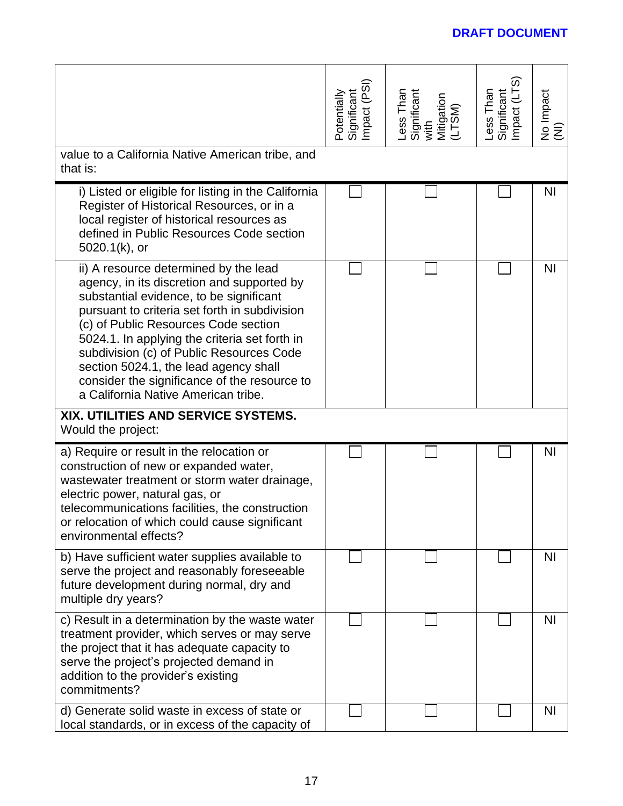|                                                                                                                                                                                                                                                                                                                                                                                                                                                      | Significant<br>Impact (PSI)<br>Potentially | Less Than<br>Significant<br>with<br>Mitigation<br>(LTSM) | Significant<br>Impact (LTS)<br>Less Than | No Impact<br>(NI) |
|------------------------------------------------------------------------------------------------------------------------------------------------------------------------------------------------------------------------------------------------------------------------------------------------------------------------------------------------------------------------------------------------------------------------------------------------------|--------------------------------------------|----------------------------------------------------------|------------------------------------------|-------------------|
| value to a California Native American tribe, and<br>that is:                                                                                                                                                                                                                                                                                                                                                                                         |                                            |                                                          |                                          |                   |
| i) Listed or eligible for listing in the California<br>Register of Historical Resources, or in a<br>local register of historical resources as<br>defined in Public Resources Code section<br>5020.1(k), or                                                                                                                                                                                                                                           |                                            |                                                          |                                          | <b>NI</b>         |
| ii) A resource determined by the lead<br>agency, in its discretion and supported by<br>substantial evidence, to be significant<br>pursuant to criteria set forth in subdivision<br>(c) of Public Resources Code section<br>5024.1. In applying the criteria set forth in<br>subdivision (c) of Public Resources Code<br>section 5024.1, the lead agency shall<br>consider the significance of the resource to<br>a California Native American tribe. |                                            |                                                          |                                          | <b>NI</b>         |
| XIX. UTILITIES AND SERVICE SYSTEMS.<br>Would the project:                                                                                                                                                                                                                                                                                                                                                                                            |                                            |                                                          |                                          |                   |
| a) Require or result in the relocation or<br>construction of new or expanded water,<br>wastewater treatment or storm water drainage,<br>electric power, natural gas, or<br>telecommunications facilities, the construction<br>or relocation of which could cause significant<br>environmental effects?                                                                                                                                               |                                            |                                                          |                                          | <b>NI</b>         |
| b) Have sufficient water supplies available to<br>serve the project and reasonably foreseeable<br>future development during normal, dry and<br>multiple dry years?                                                                                                                                                                                                                                                                                   |                                            |                                                          |                                          | <b>NI</b>         |
| c) Result in a determination by the waste water<br>treatment provider, which serves or may serve<br>the project that it has adequate capacity to<br>serve the project's projected demand in<br>addition to the provider's existing<br>commitments?                                                                                                                                                                                                   |                                            |                                                          |                                          | <b>NI</b>         |
| d) Generate solid waste in excess of state or<br>local standards, or in excess of the capacity of                                                                                                                                                                                                                                                                                                                                                    |                                            |                                                          |                                          | ΝI                |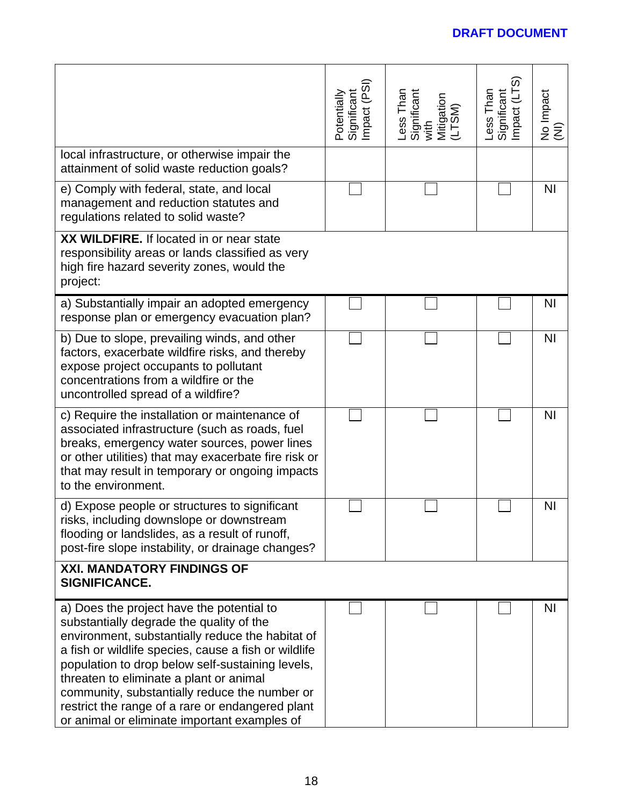|                                                                                                                                                                                                                                                                                                                                                                                                                                                       | Potentially<br>Significant<br>Impact (PSI) | Less Than<br>Significant<br>with<br>Mitigation<br>(LTSM) | Significant<br>Impact (LTS)<br>Less Than | No Impact<br>(NI) |
|-------------------------------------------------------------------------------------------------------------------------------------------------------------------------------------------------------------------------------------------------------------------------------------------------------------------------------------------------------------------------------------------------------------------------------------------------------|--------------------------------------------|----------------------------------------------------------|------------------------------------------|-------------------|
| local infrastructure, or otherwise impair the<br>attainment of solid waste reduction goals?                                                                                                                                                                                                                                                                                                                                                           |                                            |                                                          |                                          |                   |
| e) Comply with federal, state, and local<br>management and reduction statutes and<br>regulations related to solid waste?                                                                                                                                                                                                                                                                                                                              |                                            |                                                          |                                          | <b>NI</b>         |
| XX WILDFIRE. If located in or near state<br>responsibility areas or lands classified as very<br>high fire hazard severity zones, would the<br>project:                                                                                                                                                                                                                                                                                                |                                            |                                                          |                                          |                   |
| a) Substantially impair an adopted emergency<br>response plan or emergency evacuation plan?                                                                                                                                                                                                                                                                                                                                                           |                                            |                                                          |                                          | <b>NI</b>         |
| b) Due to slope, prevailing winds, and other<br>factors, exacerbate wildfire risks, and thereby<br>expose project occupants to pollutant<br>concentrations from a wildfire or the<br>uncontrolled spread of a wildfire?                                                                                                                                                                                                                               |                                            |                                                          |                                          | <b>NI</b>         |
| c) Require the installation or maintenance of<br>associated infrastructure (such as roads, fuel<br>breaks, emergency water sources, power lines<br>or other utilities) that may exacerbate fire risk or<br>that may result in temporary or ongoing impacts<br>to the environment.                                                                                                                                                                     |                                            |                                                          |                                          | ΝI                |
| d) Expose people or structures to significant<br>risks, including downslope or downstream<br>flooding or landslides, as a result of runoff,<br>post-fire slope instability, or drainage changes?                                                                                                                                                                                                                                                      |                                            |                                                          |                                          | <b>NI</b>         |
| <b>XXI. MANDATORY FINDINGS OF</b><br>SIGNIFICANCE.                                                                                                                                                                                                                                                                                                                                                                                                    |                                            |                                                          |                                          |                   |
| a) Does the project have the potential to<br>substantially degrade the quality of the<br>environment, substantially reduce the habitat of<br>a fish or wildlife species, cause a fish or wildlife<br>population to drop below self-sustaining levels,<br>threaten to eliminate a plant or animal<br>community, substantially reduce the number or<br>restrict the range of a rare or endangered plant<br>or animal or eliminate important examples of |                                            |                                                          |                                          | <b>NI</b>         |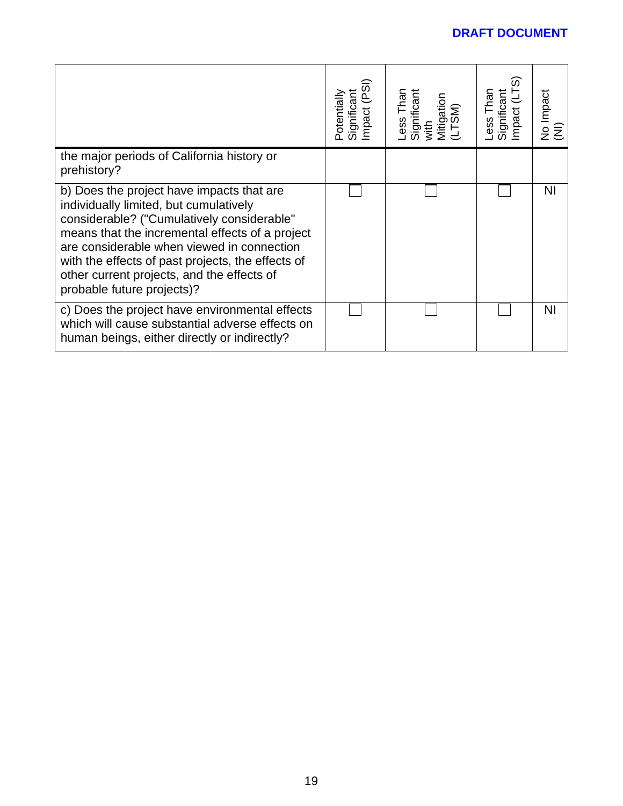|                                                                                                                                                                                                                                                                                                                                                                     | mpact (PSI<br>Significant<br>Potentially | ess Than<br>Significant<br>with<br>Mitigation<br>(LTSM) | Ó.<br>Than<br>Significant<br>mpact<br>-ess <sup>-</sup> | No Impact<br>(NI) |
|---------------------------------------------------------------------------------------------------------------------------------------------------------------------------------------------------------------------------------------------------------------------------------------------------------------------------------------------------------------------|------------------------------------------|---------------------------------------------------------|---------------------------------------------------------|-------------------|
| the major periods of California history or<br>prehistory?                                                                                                                                                                                                                                                                                                           |                                          |                                                         |                                                         |                   |
| b) Does the project have impacts that are<br>individually limited, but cumulatively<br>considerable? ("Cumulatively considerable"<br>means that the incremental effects of a project<br>are considerable when viewed in connection<br>with the effects of past projects, the effects of<br>other current projects, and the effects of<br>probable future projects)? |                                          |                                                         |                                                         | ΝI                |
| c) Does the project have environmental effects<br>which will cause substantial adverse effects on<br>human beings, either directly or indirectly?                                                                                                                                                                                                                   |                                          |                                                         |                                                         | <b>NI</b>         |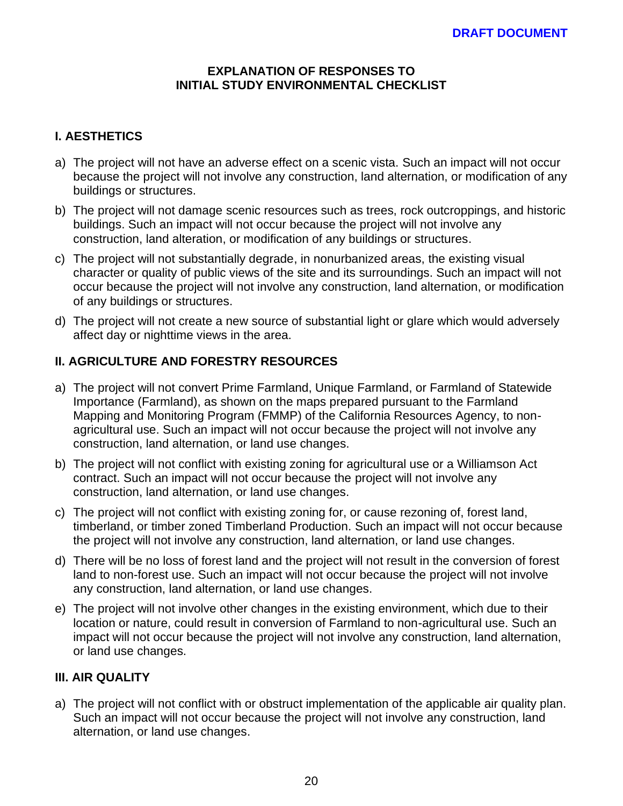#### **EXPLANATION OF RESPONSES TO INITIAL STUDY ENVIRONMENTAL CHECKLIST**

# **I. AESTHETICS**

- a) The project will not have an adverse effect on a scenic vista. Such an impact will not occur because the project will not involve any construction, land alternation, or modification of any buildings or structures.
- b) The project will not damage scenic resources such as trees, rock outcroppings, and historic buildings. Such an impact will not occur because the project will not involve any construction, land alteration, or modification of any buildings or structures.
- c) The project will not substantially degrade, in nonurbanized areas, the existing visual character or quality of public views of the site and its surroundings. Such an impact will not occur because the project will not involve any construction, land alternation, or modification of any buildings or structures.
- d) The project will not create a new source of substantial light or glare which would adversely affect day or nighttime views in the area.

# **II. AGRICULTURE AND FORESTRY RESOURCES**

- a) The project will not convert Prime Farmland, Unique Farmland, or Farmland of Statewide Importance (Farmland), as shown on the maps prepared pursuant to the Farmland Mapping and Monitoring Program (FMMP) of the California Resources Agency, to nonagricultural use. Such an impact will not occur because the project will not involve any construction, land alternation, or land use changes.
- b) The project will not conflict with existing zoning for agricultural use or a Williamson Act contract. Such an impact will not occur because the project will not involve any construction, land alternation, or land use changes.
- c) The project will not conflict with existing zoning for, or cause rezoning of, forest land, timberland, or timber zoned Timberland Production. Such an impact will not occur because the project will not involve any construction, land alternation, or land use changes.
- d) There will be no loss of forest land and the project will not result in the conversion of forest land to non-forest use. Such an impact will not occur because the project will not involve any construction, land alternation, or land use changes.
- e) The project will not involve other changes in the existing environment, which due to their location or nature, could result in conversion of Farmland to non-agricultural use. Such an impact will not occur because the project will not involve any construction, land alternation, or land use changes.

### **III. AIR QUALITY**

a) The project will not conflict with or obstruct implementation of the applicable air quality plan. Such an impact will not occur because the project will not involve any construction, land alternation, or land use changes.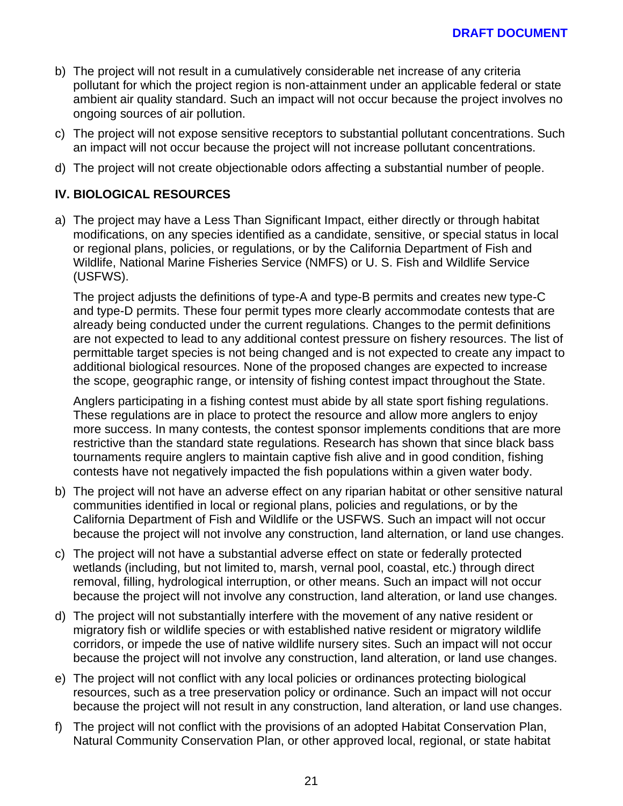- b) The project will not result in a cumulatively considerable net increase of any criteria pollutant for which the project region is non-attainment under an applicable federal or state ambient air quality standard. Such an impact will not occur because the project involves no ongoing sources of air pollution.
- c) The project will not expose sensitive receptors to substantial pollutant concentrations. Such an impact will not occur because the project will not increase pollutant concentrations.
- d) The project will not create objectionable odors affecting a substantial number of people.

# **IV. BIOLOGICAL RESOURCES**

a) The project may have a Less Than Significant Impact, either directly or through habitat modifications, on any species identified as a candidate, sensitive, or special status in local or regional plans, policies, or regulations, or by the California Department of Fish and Wildlife, National Marine Fisheries Service (NMFS) or U. S. Fish and Wildlife Service (USFWS).

The project adjusts the definitions of type-A and type-B permits and creates new type-C and type-D permits. These four permit types more clearly accommodate contests that are already being conducted under the current regulations. Changes to the permit definitions are not expected to lead to any additional contest pressure on fishery resources. The list of permittable target species is not being changed and is not expected to create any impact to additional biological resources. None of the proposed changes are expected to increase the scope, geographic range, or intensity of fishing contest impact throughout the State.

Anglers participating in a fishing contest must abide by all state sport fishing regulations. These regulations are in place to protect the resource and allow more anglers to enjoy more success. In many contests, the contest sponsor implements conditions that are more restrictive than the standard state regulations. Research has shown that since black bass tournaments require anglers to maintain captive fish alive and in good condition, fishing contests have not negatively impacted the fish populations within a given water body.

- b) The project will not have an adverse effect on any riparian habitat or other sensitive natural communities identified in local or regional plans, policies and regulations, or by the California Department of Fish and Wildlife or the USFWS. Such an impact will not occur because the project will not involve any construction, land alternation, or land use changes.
- c) The project will not have a substantial adverse effect on state or federally protected wetlands (including, but not limited to, marsh, vernal pool, coastal, etc.) through direct removal, filling, hydrological interruption, or other means. Such an impact will not occur because the project will not involve any construction, land alteration, or land use changes.
- d) The project will not substantially interfere with the movement of any native resident or migratory fish or wildlife species or with established native resident or migratory wildlife corridors, or impede the use of native wildlife nursery sites. Such an impact will not occur because the project will not involve any construction, land alteration, or land use changes.
- e) The project will not conflict with any local policies or ordinances protecting biological resources, such as a tree preservation policy or ordinance. Such an impact will not occur because the project will not result in any construction, land alteration, or land use changes.
- f) The project will not conflict with the provisions of an adopted Habitat Conservation Plan, Natural Community Conservation Plan, or other approved local, regional, or state habitat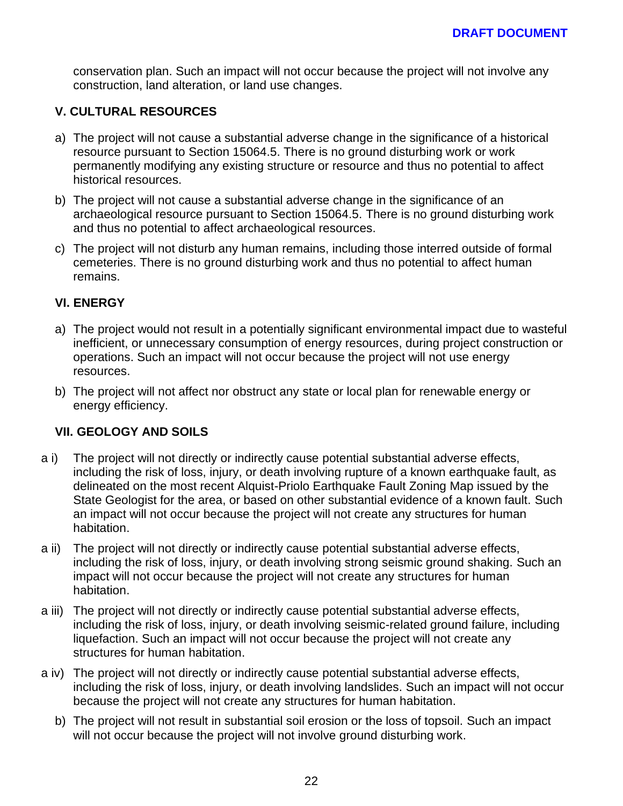conservation plan. Such an impact will not occur because the project will not involve any construction, land alteration, or land use changes.

### **V. CULTURAL RESOURCES**

- a) The project will not cause a substantial adverse change in the significance of a historical resource pursuant to Section 15064.5. There is no ground disturbing work or work permanently modifying any existing structure or resource and thus no potential to affect historical resources.
- b) The project will not cause a substantial adverse change in the significance of an archaeological resource pursuant to Section 15064.5. There is no ground disturbing work and thus no potential to affect archaeological resources.
- c) The project will not disturb any human remains, including those interred outside of formal cemeteries. There is no ground disturbing work and thus no potential to affect human remains.

#### **VI. ENERGY**

- a) The project would not result in a potentially significant environmental impact due to wasteful inefficient, or unnecessary consumption of energy resources, during project construction or operations. Such an impact will not occur because the project will not use energy resources.
- b) The project will not affect nor obstruct any state or local plan for renewable energy or energy efficiency.

#### **VII. GEOLOGY AND SOILS**

- a i) The project will not directly or indirectly cause potential substantial adverse effects, including the risk of loss, injury, or death involving rupture of a known earthquake fault, as delineated on the most recent Alquist-Priolo Earthquake Fault Zoning Map issued by the State Geologist for the area, or based on other substantial evidence of a known fault. Such an impact will not occur because the project will not create any structures for human habitation.
- a ii) The project will not directly or indirectly cause potential substantial adverse effects, including the risk of loss, injury, or death involving strong seismic ground shaking. Such an impact will not occur because the project will not create any structures for human habitation.
- a iii) The project will not directly or indirectly cause potential substantial adverse effects, including the risk of loss, injury, or death involving seismic-related ground failure, including liquefaction. Such an impact will not occur because the project will not create any structures for human habitation.
- a iv) The project will not directly or indirectly cause potential substantial adverse effects, including the risk of loss, injury, or death involving landslides. Such an impact will not occur because the project will not create any structures for human habitation.
	- b) The project will not result in substantial soil erosion or the loss of topsoil. Such an impact will not occur because the project will not involve ground disturbing work.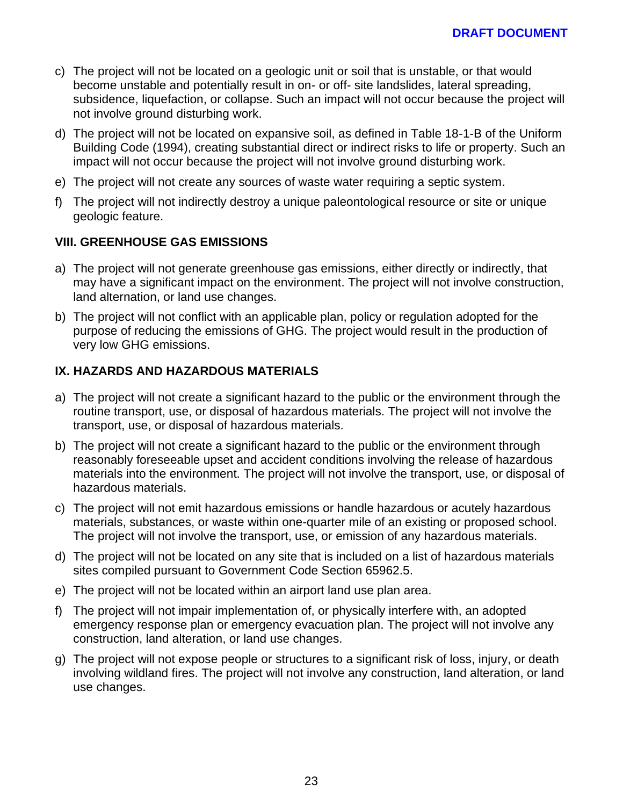- c) The project will not be located on a geologic unit or soil that is unstable, or that would become unstable and potentially result in on- or off- site landslides, lateral spreading, subsidence, liquefaction, or collapse. Such an impact will not occur because the project will not involve ground disturbing work.
- d) The project will not be located on expansive soil, as defined in Table 18-1-B of the Uniform Building Code (1994), creating substantial direct or indirect risks to life or property. Such an impact will not occur because the project will not involve ground disturbing work.
- e) The project will not create any sources of waste water requiring a septic system.
- f) The project will not indirectly destroy a unique paleontological resource or site or unique geologic feature.

### **VIII. GREENHOUSE GAS EMISSIONS**

- a) The project will not generate greenhouse gas emissions, either directly or indirectly, that may have a significant impact on the environment. The project will not involve construction, land alternation, or land use changes.
- b) The project will not conflict with an applicable plan, policy or regulation adopted for the purpose of reducing the emissions of GHG. The project would result in the production of very low GHG emissions.

### **IX. HAZARDS AND HAZARDOUS MATERIALS**

- a) The project will not create a significant hazard to the public or the environment through the routine transport, use, or disposal of hazardous materials. The project will not involve the transport, use, or disposal of hazardous materials.
- b) The project will not create a significant hazard to the public or the environment through reasonably foreseeable upset and accident conditions involving the release of hazardous materials into the environment. The project will not involve the transport, use, or disposal of hazardous materials.
- c) The project will not emit hazardous emissions or handle hazardous or acutely hazardous materials, substances, or waste within one-quarter mile of an existing or proposed school. The project will not involve the transport, use, or emission of any hazardous materials.
- d) The project will not be located on any site that is included on a list of hazardous materials sites compiled pursuant to Government Code Section 65962.5.
- e) The project will not be located within an airport land use plan area.
- f) The project will not impair implementation of, or physically interfere with, an adopted emergency response plan or emergency evacuation plan. The project will not involve any construction, land alteration, or land use changes.
- g) The project will not expose people or structures to a significant risk of loss, injury, or death involving wildland fires. The project will not involve any construction, land alteration, or land use changes.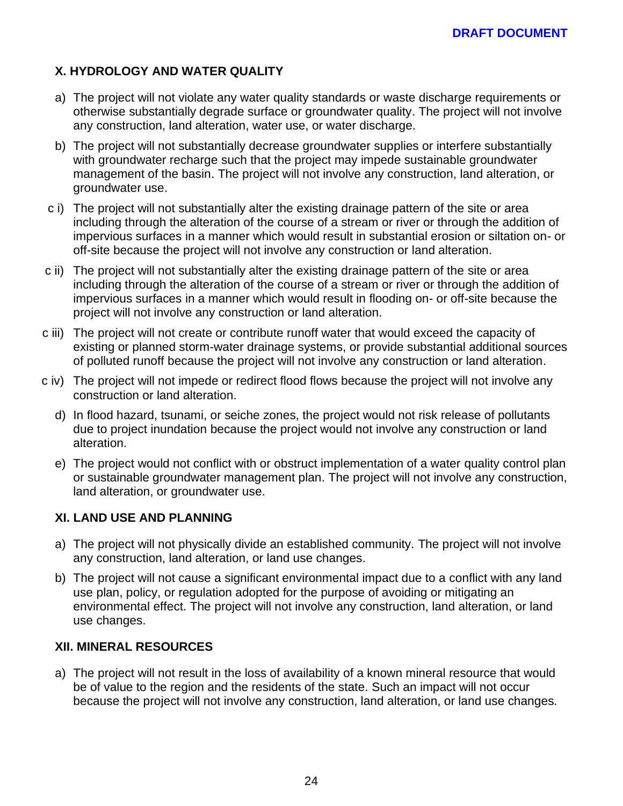# **X. HYDROLOGY AND WATER QUALITY**

- a) The project will not violate any water quality standards or waste discharge requirements or otherwise substantially degrade surface or groundwater quality. The project will not involve any construction, land alteration, water use, or water discharge.
- b) The project will not substantially decrease groundwater supplies or interfere substantially with groundwater recharge such that the project may impede sustainable groundwater management of the basin. The project will not involve any construction, land alteration, or groundwater use.
- c i) The project will not substantially alter the existing drainage pattern of the site or area including through the alteration of the course of a stream or river or through the addition of impervious surfaces in a manner which would result in substantial erosion or siltation on- or off-site because the project will not involve any construction or land alteration.
- c ii) The project will not substantially alter the existing drainage pattern of the site or area including through the alteration of the course of a stream or river or through the addition of impervious surfaces in a manner which would result in flooding on- or off-site because the project will not involve any construction or land alteration.
- c iii) The project will not create or contribute runoff water that would exceed the capacity of existing or planned storm-water drainage systems, or provide substantial additional sources of polluted runoff because the project will not involve any construction or land alteration.
- c iv) The project will not impede or redirect flood flows because the project will not involve any construction or land alteration.
	- d) In flood hazard, tsunami, or seiche zones, the project would not risk release of pollutants due to project inundation because the project would not involve any construction or land alteration.
	- e) The project would not conflict with or obstruct implementation of a water quality control plan or sustainable groundwater management plan. The project will not involve any construction, land alteration, or groundwater use.

#### **XI. LAND USE AND PLANNING**

- a) The project will not physically divide an established community. The project will not involve any construction, land alteration, or land use changes.
- b) The project will not cause a significant environmental impact due to a conflict with any land use plan, policy, or regulation adopted for the purpose of avoiding or mitigating an environmental effect. The project will not involve any construction, land alteration, or land use changes.

#### **XII. MINERAL RESOURCES**

a) The project will not result in the loss of availability of a known mineral resource that would be of value to the region and the residents of the state. Such an impact will not occur because the project will not involve any construction, land alteration, or land use changes.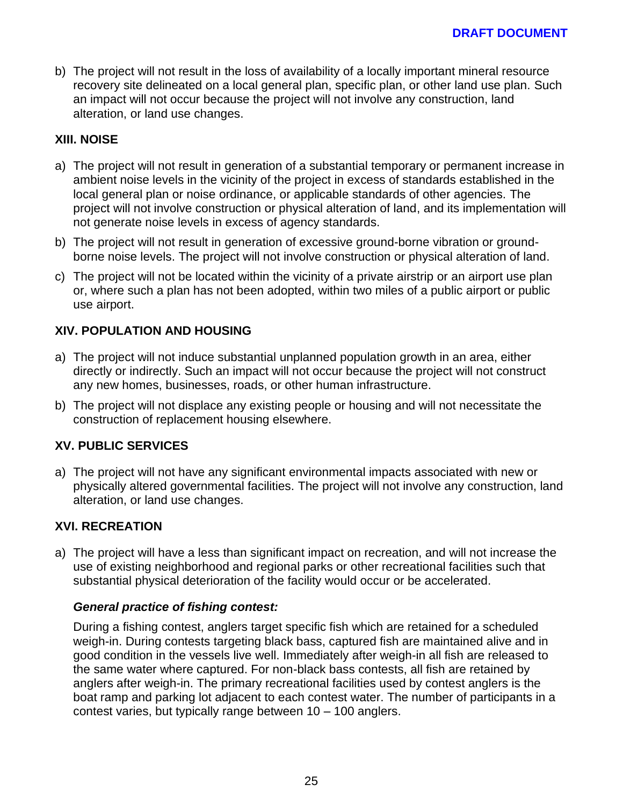b) The project will not result in the loss of availability of a locally important mineral resource recovery site delineated on a local general plan, specific plan, or other land use plan. Such an impact will not occur because the project will not involve any construction, land alteration, or land use changes.

### **XIII. NOISE**

- a) The project will not result in generation of a substantial temporary or permanent increase in ambient noise levels in the vicinity of the project in excess of standards established in the local general plan or noise ordinance, or applicable standards of other agencies. The project will not involve construction or physical alteration of land, and its implementation will not generate noise levels in excess of agency standards.
- b) The project will not result in generation of excessive ground-borne vibration or groundborne noise levels. The project will not involve construction or physical alteration of land.
- c) The project will not be located within the vicinity of a private airstrip or an airport use plan or, where such a plan has not been adopted, within two miles of a public airport or public use airport.

### **XIV. POPULATION AND HOUSING**

- a) The project will not induce substantial unplanned population growth in an area, either directly or indirectly. Such an impact will not occur because the project will not construct any new homes, businesses, roads, or other human infrastructure.
- b) The project will not displace any existing people or housing and will not necessitate the construction of replacement housing elsewhere.

#### **XV. PUBLIC SERVICES**

a) The project will not have any significant environmental impacts associated with new or physically altered governmental facilities. The project will not involve any construction, land alteration, or land use changes.

#### **XVI. RECREATION**

a) The project will have a less than significant impact on recreation, and will not increase the use of existing neighborhood and regional parks or other recreational facilities such that substantial physical deterioration of the facility would occur or be accelerated.

#### *General practice of fishing contest:*

During a fishing contest, anglers target specific fish which are retained for a scheduled weigh-in. During contests targeting black bass, captured fish are maintained alive and in good condition in the vessels live well. Immediately after weigh-in all fish are released to the same water where captured. For non-black bass contests, all fish are retained by anglers after weigh-in. The primary recreational facilities used by contest anglers is the boat ramp and parking lot adjacent to each contest water. The number of participants in a contest varies, but typically range between 10 – 100 anglers.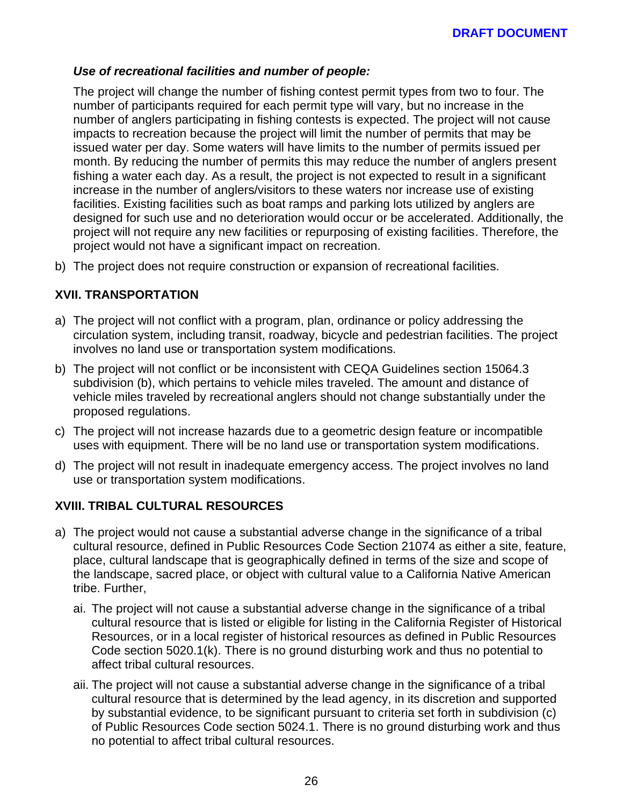### *Use of recreational facilities and number of people:*

The project will change the number of fishing contest permit types from two to four. The number of participants required for each permit type will vary, but no increase in the number of anglers participating in fishing contests is expected. The project will not cause impacts to recreation because the project will limit the number of permits that may be issued water per day. Some waters will have limits to the number of permits issued per month. By reducing the number of permits this may reduce the number of anglers present fishing a water each day. As a result, the project is not expected to result in a significant increase in the number of anglers/visitors to these waters nor increase use of existing facilities. Existing facilities such as boat ramps and parking lots utilized by anglers are designed for such use and no deterioration would occur or be accelerated. Additionally, the project will not require any new facilities or repurposing of existing facilities. Therefore, the project would not have a significant impact on recreation.

b) The project does not require construction or expansion of recreational facilities.

### **XVII. TRANSPORTATION**

- a) The project will not conflict with a program, plan, ordinance or policy addressing the circulation system, including transit, roadway, bicycle and pedestrian facilities. The project involves no land use or transportation system modifications.
- b) The project will not conflict or be inconsistent with CEQA Guidelines section 15064.3 subdivision (b), which pertains to vehicle miles traveled. The amount and distance of vehicle miles traveled by recreational anglers should not change substantially under the proposed regulations.
- c) The project will not increase hazards due to a geometric design feature or incompatible uses with equipment. There will be no land use or transportation system modifications.
- d) The project will not result in inadequate emergency access. The project involves no land use or transportation system modifications.

#### **XVIII. TRIBAL CULTURAL RESOURCES**

- a) The project would not cause a substantial adverse change in the significance of a tribal cultural resource, defined in Public Resources Code Section 21074 as either a site, feature, place, cultural landscape that is geographically defined in terms of the size and scope of the landscape, sacred place, or object with cultural value to a California Native American tribe. Further,
	- ai. The project will not cause a substantial adverse change in the significance of a tribal cultural resource that is listed or eligible for listing in the California Register of Historical Resources, or in a local register of historical resources as defined in Public Resources Code section 5020.1(k). There is no ground disturbing work and thus no potential to affect tribal cultural resources.
	- aii. The project will not cause a substantial adverse change in the significance of a tribal cultural resource that is determined by the lead agency, in its discretion and supported by substantial evidence, to be significant pursuant to criteria set forth in subdivision (c) of Public Resources Code section 5024.1. There is no ground disturbing work and thus no potential to affect tribal cultural resources.